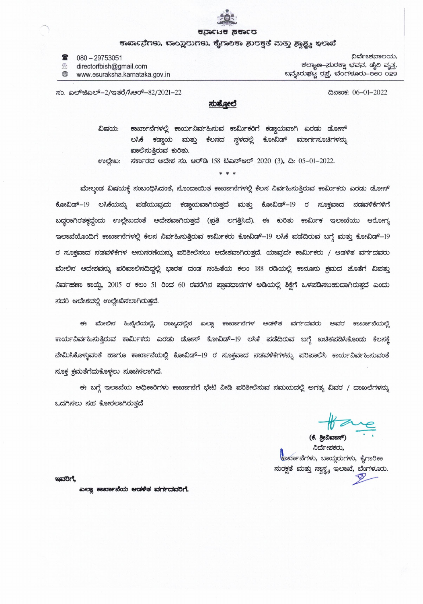ರಾಂಕಡ ಕಟಾಧಕ

## ಕಾರ್ಖಾನೆಗಳು, ಬಾಯ್ದರುಗಳು, ಕೈಗಾರಿಕಾ ಶುರಕ್ಷತೆ ಮತ್ತು ಶ್ವಾಶ್ವ್ಯ ಇಲಾಖೆ

 $\mathbb{Z}$  $080 - 29753051$ 

極 directorfbish@gmail.com

⊕ www.esuraksha.karnataka.gov.in

ನಿರ್ದೇಶನಾಲಯ. ಕಲ್ಯಾಣ-ಸುರಕ್ಷಾ ಭವನ. ಡೈಲಿ ವ್ಯಕ್ತ. ಬನ್ನೇರುಫಟ್ನ ರಸ್ತೆ, ಬೆಂಗಳೂರು–560 029

ಸಂ. ಎಲ್ಜಿಎಲ್-2/ಇತರೆ/ಸಿಆರ್-82/2021-22

ದಿನಾಂಕ: 06-01-2022

## ಸುತ್ತೋಲೆ

ಕಾರ್ಖಾನೆಗಳಲ್ಲಿ ಕಾರ್ಯನಿರ್ವಹಿಸುವ ಕಾರ್ಮಿಕರಿಗೆ ಕಡ್ಡಾಯವಾಗಿ ಎರಡು ಡೋಸ್ ವಿಷಯ: ಕಡ್ಡಾಯ ಮತ್ತು ಕೆಲಸದ ಸ್ಥಳದಲ್ಲಿ ಕೋವಿಡ್ ಮಾರ್ಗಸೂಚೆಗಳನ್ನು ಲಸಿಕೆ ಪಾಲಿಸುತ್ತಿರುವ ಕುರಿತು. ಸರ್ಕಾರದ ಆದೇಶ ಸಂ. ಆರ್ಡಿ 158 ಟಿಎನ್ಆರ್ 2020 (3), ದಿ: 05-01-2022. ಉಲ್ಲೇಖ:

ಮೇಲ್ತಂಡ ವಿಷಯಕ್ಕೆ ಸಂಬಂಧಿಸಿದಂತೆ, ನೊಂದಾಯಿತ ಕಾರ್ಖಾನೆಗಳಲ್ಲಿ ಕೆಲಸ ನಿರ್ವಹಿಸುತ್ತಿರುವ ಕಾರ್ಮಿಕರು ಎರಡು ಡೋಸ್ ಕೋವಿಡ್–19 ಲಸಿಕೆಯನ್ನು ಪಡೆಯುವುದು ಕಡ್ಗಾಯವಾಗಿರುತ್ತದೆ ಮತ್ತು ಕೋವಿಡ್–19 ರ ಸೂಕ್ತವಾದ ನಡವಳಿಕೆಗಳಿಗೆ ಬದ್ಧರಾಗಿರತಕ್ಷದ್ದೆಂದು ಉಲ್ಲೇಖದಂತೆ ಆದೇಶವಾಗಿರುತ್ತದೆ (ಫ್ರತಿ ಲಗತ್ತಿಸಿದೆ). ಈ ಕುರಿತು ಕಾರ್ಮಿಕ ಇಲಾಖೆಯು ಆರೋಗ್ಯ ಇಲಾಖೆಯೊಂದಿಗೆ ಕಾರ್ಖಾನೆಗಳಲ್ಲಿ ಕೆಲಸ ನಿರ್ವಹಿಸುತ್ತಿರುವ ಕಾರ್ಮಿಕರು ಕೋವಿಡ್–19 ಲಸಿಕೆ ಪಡೆದಿರುವ ಬಗ್ಗೆ ಮತ್ತು ಕೋವಿಡ್–19 ರ ಸೂಕ್ತವಾದ ನಡವಳಿಕೆಗಳ ಅನುಸರಣೆಯನ್ನು ಪರಿಶೀಲಿಸಲು ಆದೇಶವಾಗಿರುತ್ತದೆ. ಯಾವುದೇ ಕಾರ್ಮಿಕರು / ಆಡಳಿತ ವರ್ಗದವರು ಮೇಲಿನ ಆದೇಶವನ್ನು ಪರಿಪಾಲಿಸದಿದ್ದಲ್ಲಿ ಭಾರತ ದಂಡ ಸಂಹಿತೆಯ ಕಲಂ 188 ರಡಿಯಲ್ಲಿ ಕಾನೂನು ಕ್ರಮದ ಜೊತೆಗೆ ವಿಪತ್ತು ನಿರ್ವಹಣಾ ಕಾಯ್ಲೆ, 2005 ರ ಕಲಂ 51 ರಿಂದ 60 ರವರೆಗಿನ ಪ್ರಾವಧಾನಗಳ ಅಡಿಯಲ್ಲಿ ಶಿಕ್ಷೆಗೆ ಒಳಪಡಿಸಬಹುದಾಗಿರುತ್ತದೆ ಎಂದು ಸದರಿ ಆದೇಶದಲ್ಲಿ ಉಲ್ಲೇಖಿಸಲಾಗಿರುತ್ತದೆ.

ಈ ಮೇಲಿನ ಹಿನ್ನೆಲೆಯಲ್ಲಿ, ರಾಜ್ಯದಲ್ಲಿನ ಎಲ್ಲಾ ಕಾರ್ಖಾನೆಗಳ ಆಡಳಿತ ವರ್ಗದವರು ಅವರ ಕಾರ್ಖಾನೆಯಲ<mark>್ಲ</mark>ಿ ಕಾರ್ಯನಿರ್ವಹಿಸುತ್ತಿರುವ ಕಾರ್ಮಿಕರು ಎರಡು ಡೋಸ್ ಕೋವಿಡ್–19 ಲಸಿಕೆ ಪಡೆದಿರುವ ಬಗ್ಗೆ ಖಚಿತಪಡಿಸಿಕೊಂಡು ಕೆಲಸಕ್ತೆ ನೇಮಿಸಿಕೊಳ್ಳುವಂತೆ ಹಾಗೂ ಕಾರ್ಖಾನೆಯಲ್ಲಿ ಕೋವಿಡ್–19 ರ ಸೂಕ್ತವಾದ ನಡವಳಿಕೆಗಳನ್ನು ಪರಿಪಾಲಿಸಿ ಕಾರ್ಯನಿರ್ವಹಿಸುವಂತೆ ಸೂಕ್ತ ಕ್ರಮತೆಗೆದುಕೊಳ್ಳಲು ಸೂಚಿಸಲಾಗಿದೆ.

ಈ ಬಗ್ಗೆ ಇಲಾಖೆಯ ಅಧಿಕಾರಿಗಳು ಕಾರ್ಖಾನೆಗೆ ಭೇಟಿ ನೀಡಿ ಪರಿಶೀಲಿಸುವ ಸಮಯದಲ್ಲಿ ಅಗತ್ಯ ವಿವರ / ದಾಖಲೆಗಳನ್ನು ಒದಗಿಸಲು ಸಹ ಕೋರಲಾಗಿರುತ್ತದೆ

(ಕೆ. ಶ್ರೀನಿವಾಸ್)

ನಿರ್ದೇಶಕರು. ಕಾರ್ಖಾನೆಗಳು, ಬಾಯ್ಲರುಗಳು, ಕೈಗಾರಿಕಾ ಸುರಕ್ಷತೆ ಮತ್ತು ಸ್ವಾಸ್ಥ್ಯ ಇಲಾಖೆ, ಬೆಂಗಳೂರು.

ಇವರಿಗೆ,

ಎಲ್ಲಾ ಕಾರ್ಖಾನೆಯ ಆಡಳಿತ ವರ್ಗದವರಿಗೆ.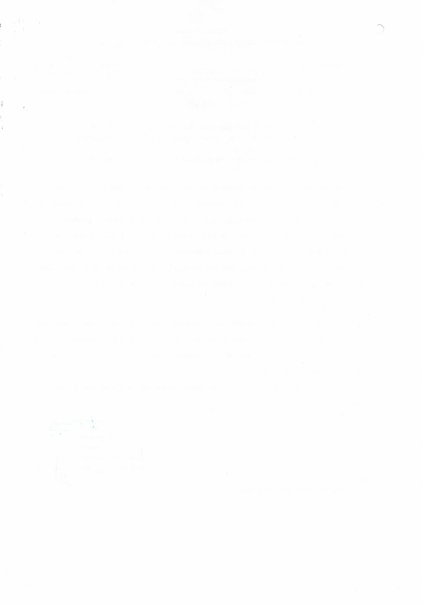, p  $\mathcal{R}_\perp$  $\overline{Y}$  , as the  $\eta$